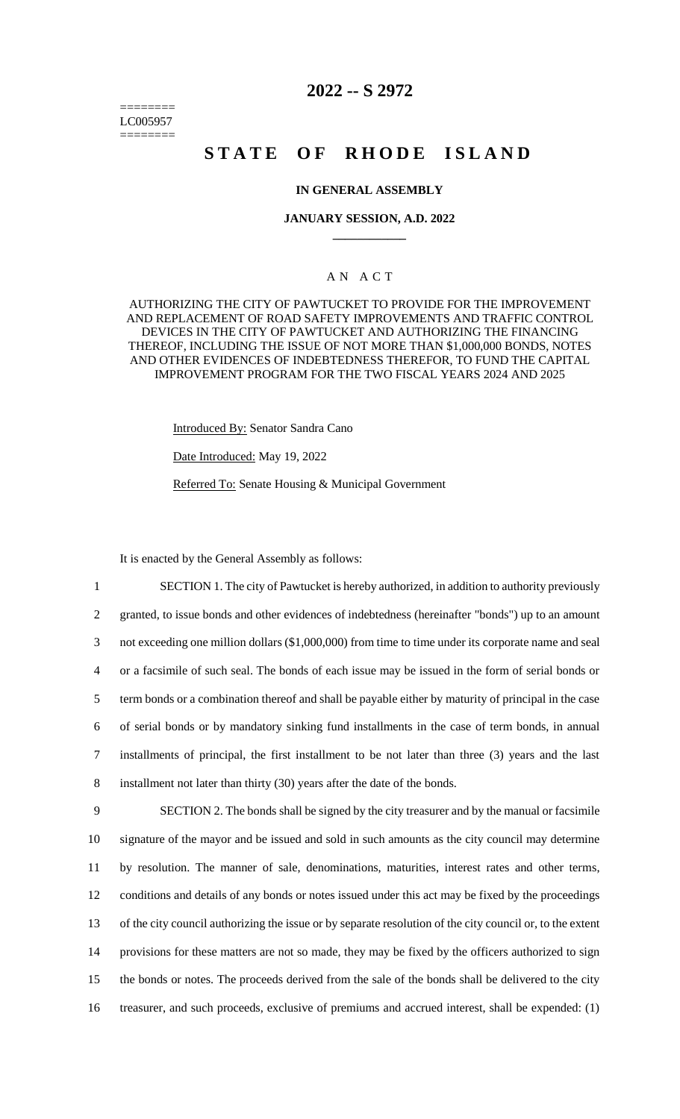======== LC005957 ========

# **2022 -- S 2972**

# **STATE OF RHODE ISLAND**

#### **IN GENERAL ASSEMBLY**

#### **JANUARY SESSION, A.D. 2022 \_\_\_\_\_\_\_\_\_\_\_\_**

# A N A C T

AUTHORIZING THE CITY OF PAWTUCKET TO PROVIDE FOR THE IMPROVEMENT AND REPLACEMENT OF ROAD SAFETY IMPROVEMENTS AND TRAFFIC CONTROL DEVICES IN THE CITY OF PAWTUCKET AND AUTHORIZING THE FINANCING THEREOF, INCLUDING THE ISSUE OF NOT MORE THAN \$1,000,000 BONDS, NOTES AND OTHER EVIDENCES OF INDEBTEDNESS THEREFOR, TO FUND THE CAPITAL IMPROVEMENT PROGRAM FOR THE TWO FISCAL YEARS 2024 AND 2025

Introduced By: Senator Sandra Cano

Date Introduced: May 19, 2022

Referred To: Senate Housing & Municipal Government

It is enacted by the General Assembly as follows:

 SECTION 1. The city of Pawtucket is hereby authorized, in addition to authority previously granted, to issue bonds and other evidences of indebtedness (hereinafter "bonds") up to an amount not exceeding one million dollars (\$1,000,000) from time to time under its corporate name and seal or a facsimile of such seal. The bonds of each issue may be issued in the form of serial bonds or term bonds or a combination thereof and shall be payable either by maturity of principal in the case of serial bonds or by mandatory sinking fund installments in the case of term bonds, in annual installments of principal, the first installment to be not later than three (3) years and the last installment not later than thirty (30) years after the date of the bonds. SECTION 2. The bonds shall be signed by the city treasurer and by the manual or facsimile signature of the mayor and be issued and sold in such amounts as the city council may determine by resolution. The manner of sale, denominations, maturities, interest rates and other terms, conditions and details of any bonds or notes issued under this act may be fixed by the proceedings of the city council authorizing the issue or by separate resolution of the city council or, to the extent

14 provisions for these matters are not so made, they may be fixed by the officers authorized to sign

15 the bonds or notes. The proceeds derived from the sale of the bonds shall be delivered to the city

16 treasurer, and such proceeds, exclusive of premiums and accrued interest, shall be expended: (1)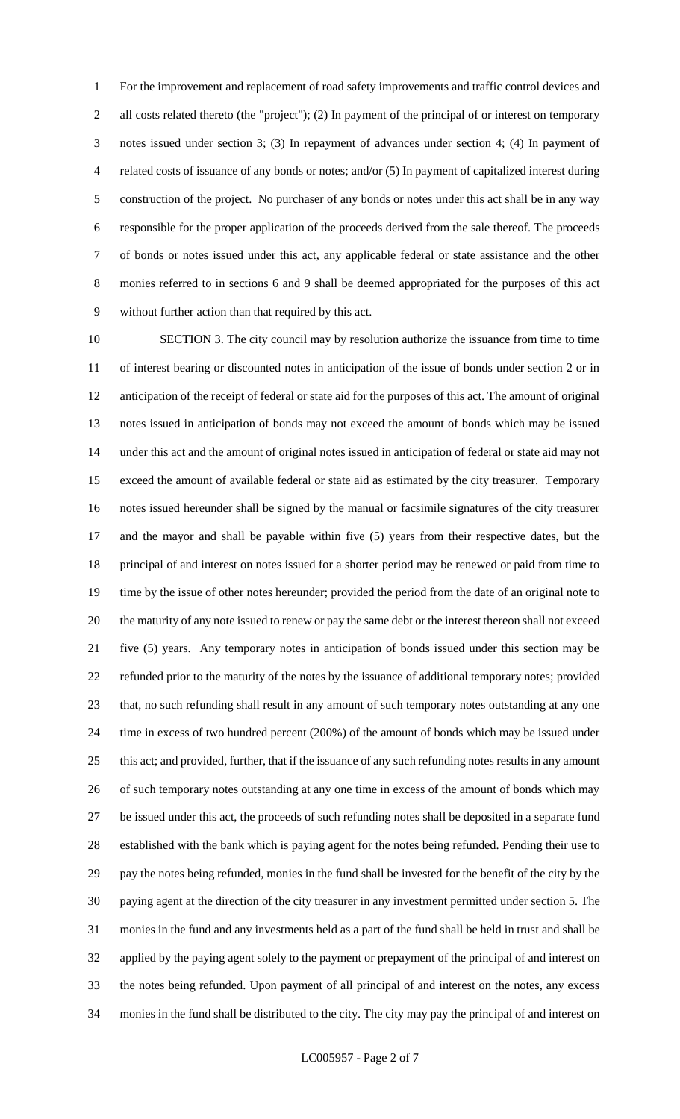For the improvement and replacement of road safety improvements and traffic control devices and all costs related thereto (the "project"); (2) In payment of the principal of or interest on temporary notes issued under section 3; (3) In repayment of advances under section 4; (4) In payment of related costs of issuance of any bonds or notes; and/or (5) In payment of capitalized interest during construction of the project. No purchaser of any bonds or notes under this act shall be in any way responsible for the proper application of the proceeds derived from the sale thereof. The proceeds of bonds or notes issued under this act, any applicable federal or state assistance and the other monies referred to in sections 6 and 9 shall be deemed appropriated for the purposes of this act without further action than that required by this act.

 SECTION 3. The city council may by resolution authorize the issuance from time to time of interest bearing or discounted notes in anticipation of the issue of bonds under section 2 or in anticipation of the receipt of federal or state aid for the purposes of this act. The amount of original notes issued in anticipation of bonds may not exceed the amount of bonds which may be issued under this act and the amount of original notes issued in anticipation of federal or state aid may not exceed the amount of available federal or state aid as estimated by the city treasurer. Temporary notes issued hereunder shall be signed by the manual or facsimile signatures of the city treasurer and the mayor and shall be payable within five (5) years from their respective dates, but the principal of and interest on notes issued for a shorter period may be renewed or paid from time to time by the issue of other notes hereunder; provided the period from the date of an original note to the maturity of any note issued to renew or pay the same debt or the interest thereon shall not exceed five (5) years. Any temporary notes in anticipation of bonds issued under this section may be refunded prior to the maturity of the notes by the issuance of additional temporary notes; provided that, no such refunding shall result in any amount of such temporary notes outstanding at any one time in excess of two hundred percent (200%) of the amount of bonds which may be issued under this act; and provided, further, that if the issuance of any such refunding notes results in any amount of such temporary notes outstanding at any one time in excess of the amount of bonds which may be issued under this act, the proceeds of such refunding notes shall be deposited in a separate fund established with the bank which is paying agent for the notes being refunded. Pending their use to pay the notes being refunded, monies in the fund shall be invested for the benefit of the city by the paying agent at the direction of the city treasurer in any investment permitted under section 5. The monies in the fund and any investments held as a part of the fund shall be held in trust and shall be applied by the paying agent solely to the payment or prepayment of the principal of and interest on the notes being refunded. Upon payment of all principal of and interest on the notes, any excess monies in the fund shall be distributed to the city. The city may pay the principal of and interest on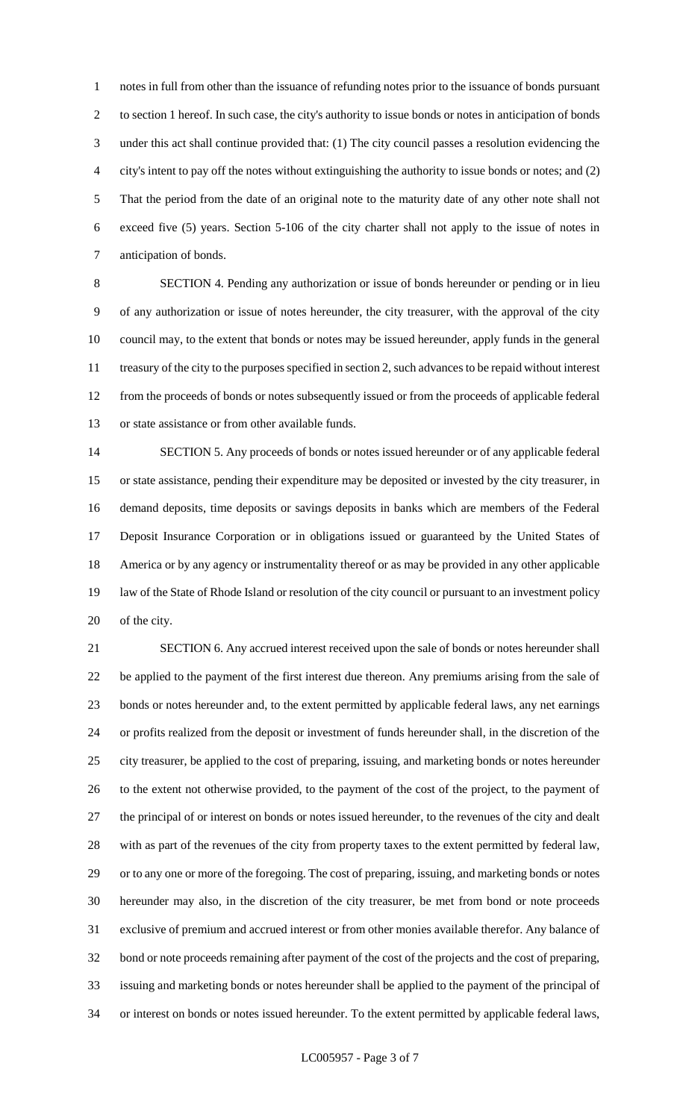notes in full from other than the issuance of refunding notes prior to the issuance of bonds pursuant to section 1 hereof. In such case, the city's authority to issue bonds or notes in anticipation of bonds under this act shall continue provided that: (1) The city council passes a resolution evidencing the city's intent to pay off the notes without extinguishing the authority to issue bonds or notes; and (2) That the period from the date of an original note to the maturity date of any other note shall not exceed five (5) years. Section 5-106 of the city charter shall not apply to the issue of notes in anticipation of bonds.

 SECTION 4. Pending any authorization or issue of bonds hereunder or pending or in lieu of any authorization or issue of notes hereunder, the city treasurer, with the approval of the city council may, to the extent that bonds or notes may be issued hereunder, apply funds in the general treasury of the city to the purposes specified in section 2, such advances to be repaid without interest from the proceeds of bonds or notes subsequently issued or from the proceeds of applicable federal or state assistance or from other available funds.

 SECTION 5. Any proceeds of bonds or notes issued hereunder or of any applicable federal or state assistance, pending their expenditure may be deposited or invested by the city treasurer, in demand deposits, time deposits or savings deposits in banks which are members of the Federal Deposit Insurance Corporation or in obligations issued or guaranteed by the United States of America or by any agency or instrumentality thereof or as may be provided in any other applicable law of the State of Rhode Island or resolution of the city council or pursuant to an investment policy of the city.

 SECTION 6. Any accrued interest received upon the sale of bonds or notes hereunder shall be applied to the payment of the first interest due thereon. Any premiums arising from the sale of bonds or notes hereunder and, to the extent permitted by applicable federal laws, any net earnings or profits realized from the deposit or investment of funds hereunder shall, in the discretion of the city treasurer, be applied to the cost of preparing, issuing, and marketing bonds or notes hereunder to the extent not otherwise provided, to the payment of the cost of the project, to the payment of the principal of or interest on bonds or notes issued hereunder, to the revenues of the city and dealt with as part of the revenues of the city from property taxes to the extent permitted by federal law, or to any one or more of the foregoing. The cost of preparing, issuing, and marketing bonds or notes hereunder may also, in the discretion of the city treasurer, be met from bond or note proceeds exclusive of premium and accrued interest or from other monies available therefor. Any balance of bond or note proceeds remaining after payment of the cost of the projects and the cost of preparing, issuing and marketing bonds or notes hereunder shall be applied to the payment of the principal of or interest on bonds or notes issued hereunder. To the extent permitted by applicable federal laws,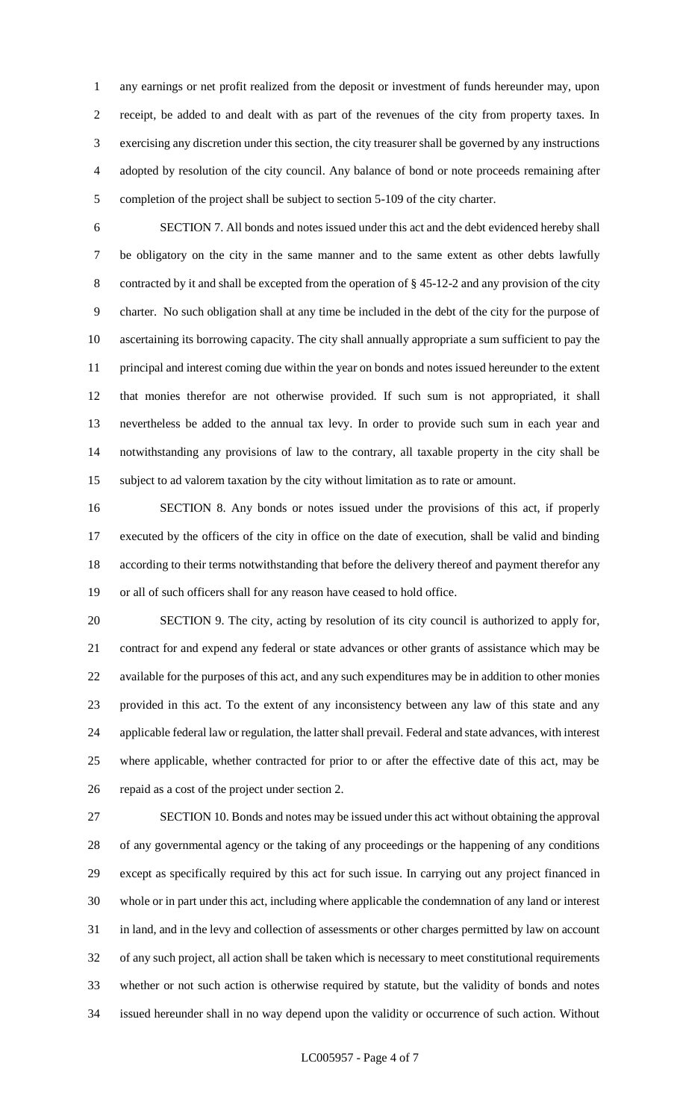any earnings or net profit realized from the deposit or investment of funds hereunder may, upon receipt, be added to and dealt with as part of the revenues of the city from property taxes. In exercising any discretion under this section, the city treasurer shall be governed by any instructions adopted by resolution of the city council. Any balance of bond or note proceeds remaining after completion of the project shall be subject to section 5-109 of the city charter.

 SECTION 7. All bonds and notes issued under this act and the debt evidenced hereby shall be obligatory on the city in the same manner and to the same extent as other debts lawfully contracted by it and shall be excepted from the operation of § 45-12-2 and any provision of the city charter. No such obligation shall at any time be included in the debt of the city for the purpose of ascertaining its borrowing capacity. The city shall annually appropriate a sum sufficient to pay the principal and interest coming due within the year on bonds and notes issued hereunder to the extent that monies therefor are not otherwise provided. If such sum is not appropriated, it shall nevertheless be added to the annual tax levy. In order to provide such sum in each year and notwithstanding any provisions of law to the contrary, all taxable property in the city shall be subject to ad valorem taxation by the city without limitation as to rate or amount.

 SECTION 8. Any bonds or notes issued under the provisions of this act, if properly executed by the officers of the city in office on the date of execution, shall be valid and binding according to their terms notwithstanding that before the delivery thereof and payment therefor any or all of such officers shall for any reason have ceased to hold office.

 SECTION 9. The city, acting by resolution of its city council is authorized to apply for, contract for and expend any federal or state advances or other grants of assistance which may be available for the purposes of this act, and any such expenditures may be in addition to other monies provided in this act. To the extent of any inconsistency between any law of this state and any applicable federal law or regulation, the latter shall prevail. Federal and state advances, with interest where applicable, whether contracted for prior to or after the effective date of this act, may be repaid as a cost of the project under section 2.

 SECTION 10. Bonds and notes may be issued under this act without obtaining the approval of any governmental agency or the taking of any proceedings or the happening of any conditions except as specifically required by this act for such issue. In carrying out any project financed in whole or in part under this act, including where applicable the condemnation of any land or interest in land, and in the levy and collection of assessments or other charges permitted by law on account of any such project, all action shall be taken which is necessary to meet constitutional requirements whether or not such action is otherwise required by statute, but the validity of bonds and notes issued hereunder shall in no way depend upon the validity or occurrence of such action. Without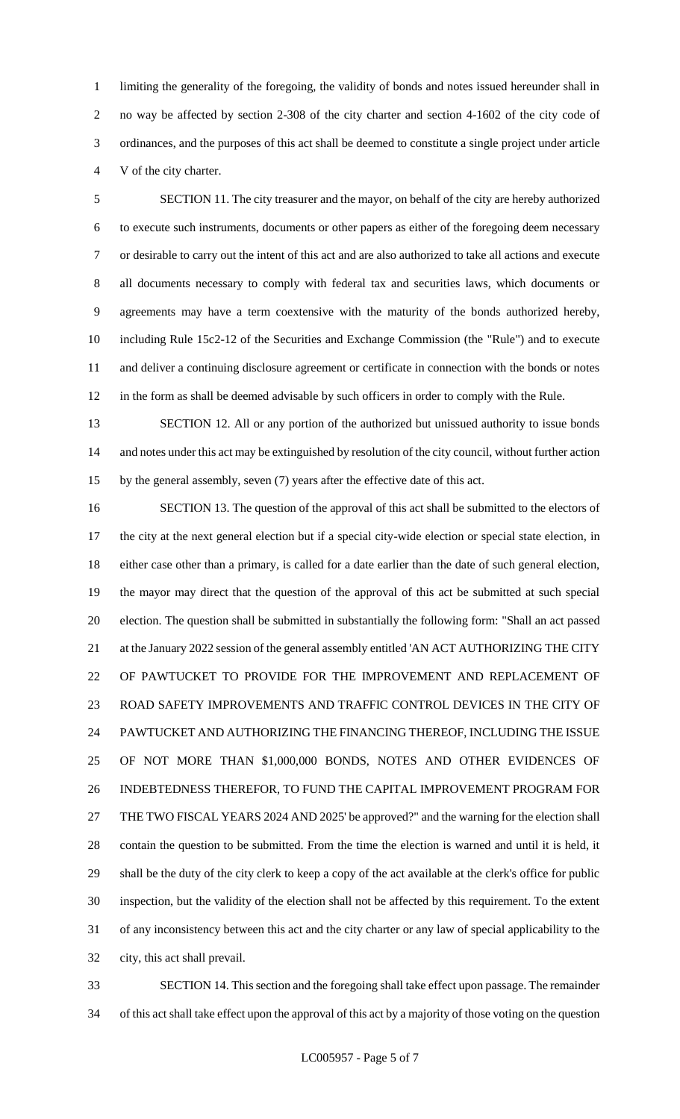limiting the generality of the foregoing, the validity of bonds and notes issued hereunder shall in no way be affected by section 2-308 of the city charter and section 4-1602 of the city code of ordinances, and the purposes of this act shall be deemed to constitute a single project under article V of the city charter.

 SECTION 11. The city treasurer and the mayor, on behalf of the city are hereby authorized to execute such instruments, documents or other papers as either of the foregoing deem necessary or desirable to carry out the intent of this act and are also authorized to take all actions and execute all documents necessary to comply with federal tax and securities laws, which documents or agreements may have a term coextensive with the maturity of the bonds authorized hereby, including Rule 15c2-12 of the Securities and Exchange Commission (the "Rule") and to execute and deliver a continuing disclosure agreement or certificate in connection with the bonds or notes in the form as shall be deemed advisable by such officers in order to comply with the Rule.

 SECTION 12. All or any portion of the authorized but unissued authority to issue bonds and notes under this act may be extinguished by resolution of the city council, without further action by the general assembly, seven (7) years after the effective date of this act.

 SECTION 13. The question of the approval of this act shall be submitted to the electors of the city at the next general election but if a special city-wide election or special state election, in either case other than a primary, is called for a date earlier than the date of such general election, the mayor may direct that the question of the approval of this act be submitted at such special election. The question shall be submitted in substantially the following form: "Shall an act passed 21 at the January 2022 session of the general assembly entitled 'AN ACT AUTHORIZING THE CITY OF PAWTUCKET TO PROVIDE FOR THE IMPROVEMENT AND REPLACEMENT OF ROAD SAFETY IMPROVEMENTS AND TRAFFIC CONTROL DEVICES IN THE CITY OF PAWTUCKET AND AUTHORIZING THE FINANCING THEREOF, INCLUDING THE ISSUE OF NOT MORE THAN \$1,000,000 BONDS, NOTES AND OTHER EVIDENCES OF INDEBTEDNESS THEREFOR, TO FUND THE CAPITAL IMPROVEMENT PROGRAM FOR THE TWO FISCAL YEARS 2024 AND 2025' be approved?" and the warning for the election shall contain the question to be submitted. From the time the election is warned and until it is held, it shall be the duty of the city clerk to keep a copy of the act available at the clerk's office for public inspection, but the validity of the election shall not be affected by this requirement. To the extent of any inconsistency between this act and the city charter or any law of special applicability to the city, this act shall prevail.

 SECTION 14. This section and the foregoing shall take effect upon passage. The remainder of this act shall take effect upon the approval of this act by a majority of those voting on the question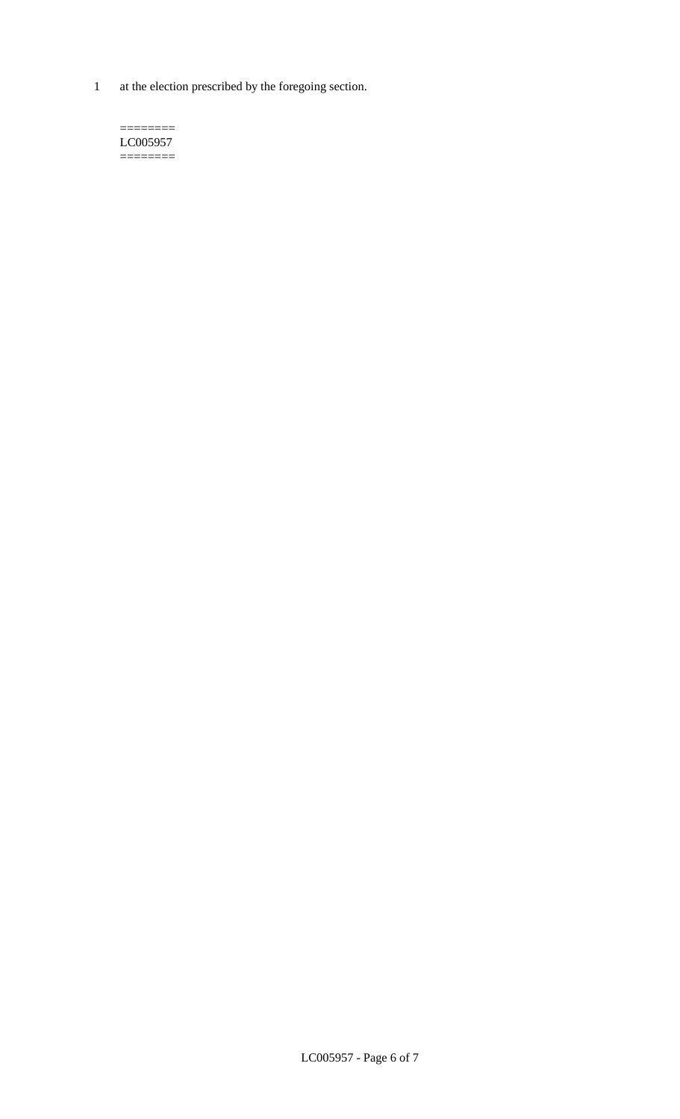1 at the election prescribed by the foregoing section.

 $=$ LC005957 ========